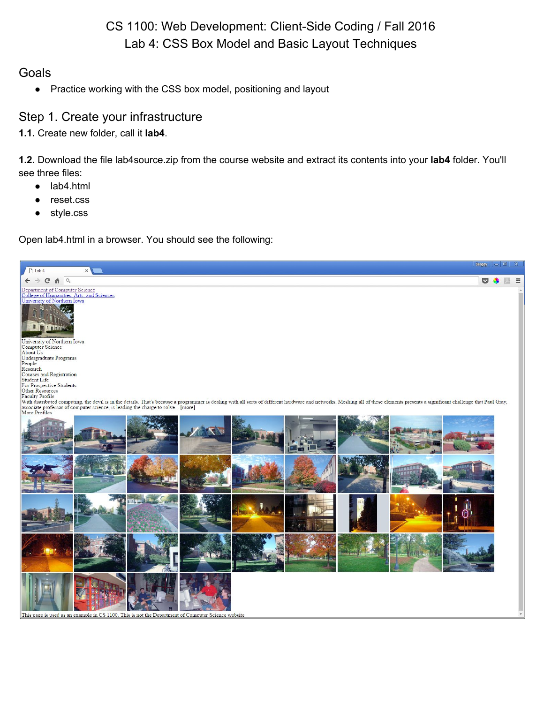# CS 1100: Web Development: Client-Side Coding / Fall 2016 Lab 4: CSS Box Model and Basic Layout Techniques

#### **Goals**

● Practice working with the CSS box model, positioning and layout

#### Step 1. Create your infrastructure

**1.1.** Create new folder, call it **lab4**.

**1.2.** Download the file lab4source.zip from the course website and extract its contents into your **lab4** folder. You'll see three files:

- lab4.html
- reset.css
- style.css

Open lab4.html in a browser. You should see the following:

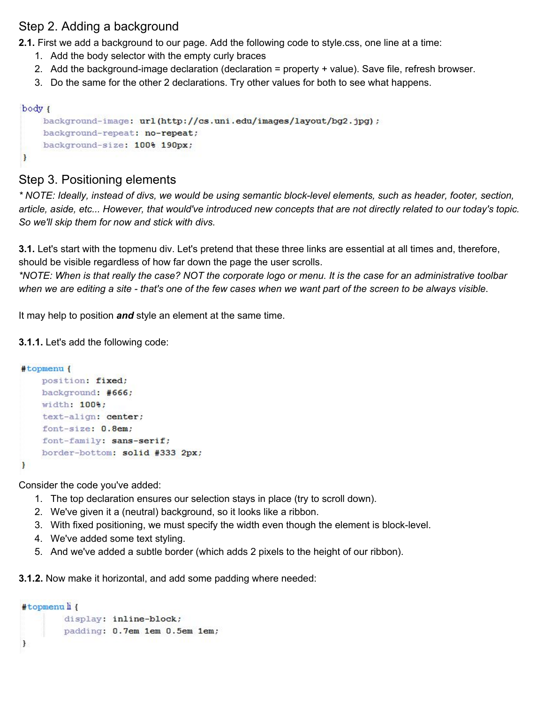### Step 2. Adding a background

**2.1.** First we add a background to our page. Add the following code to style.css, one line at a time:

- 1. Add the body selector with the empty curly braces
- 2. Add the background-image declaration (declaration = property + value). Save file, refresh browser.
- 3. Do the same for the other 2 declarations. Try other values for both to see what happens.

```
body {
```
ł

```
background-image: url(http://cs.uni.edu/images/layout/bg2.jpg) ;
background-repeat: no-repeat;
background-size: 100% 190px;
```
### Step 3. Positioning elements

*\* NOTE: Ideally, instead of divs, we would be using semantic blocklevel elements, such as header, footer, section, article, aside, etc... However, that would've introduced new concepts that are not directly related to our today's topic. So we'll skip them for now and stick with divs.*

**3.1.** Let's start with the topmenu div. Let's pretend that these three links are essential at all times and, therefore, should be visible regardless of how far down the page the user scrolls.

*\*NOTE: When is that really the case? NOT the corporate logo or menu. It is the case for an administrative toolbar when we are editing a site that's one of the few cases when we want part of the screen to be always visible*.

It may help to position *and* style an element at the same time.

#### **3.1.1.** Let's add the following code:

```
#topmenu {
    position: fixed;
   background: #666;
    width: 100%;
    text-align: center;
    font-size: 0.8em;
    font-family: sans-serif;
    border-bottom: solid #333 2px;
\mathbf{r}
```
Consider the code you've added:

- 1. The top declaration ensures our selection stays in place (try to scroll down).
- 2. We've given it a (neutral) background, so it looks like a ribbon.
- 3. With fixed positioning, we must specify the width even though the element is block-level.
- 4. We've added some text styling.
- 5. And we've added a subtle border (which adds 2 pixels to the height of our ribbon).

**3.1.2.** Now make it horizontal, and add some padding where needed:

```
#topmenuli{
        display: inline-block;
        padding: 0.7em 1em 0.5em 1em;
\,
```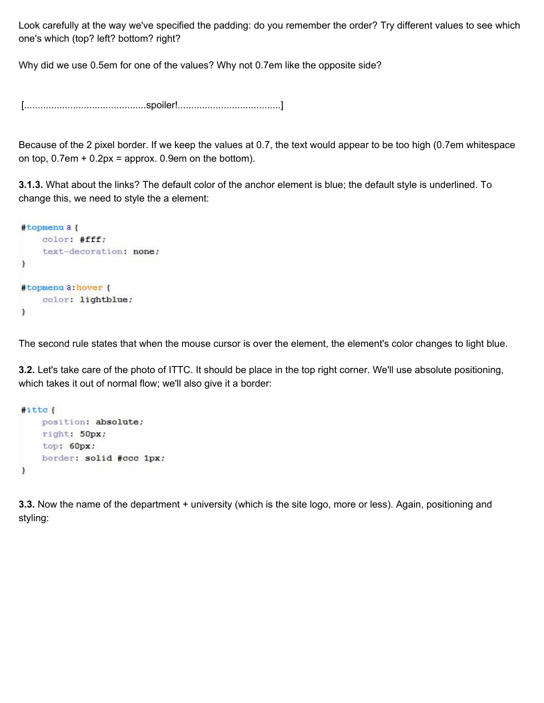Look carefully at the way we've specified the padding: do you remember the order? Try different values to see which one's which (top? left? bottom? right?

Why did we use 0.5em for one of the values? Why not 0.7em like the opposite side?

[.............................................spoiler!......................................]

Because of the 2 pixel border. If we keep the values at 0.7, the text would appear to be too high (0.7em whitespace on top,  $0.7$ em +  $0.2px$  = approx. 0.9em on the bottom).

**3.1.3.** What about the links? The default color of the anchor element is blue; the default style is underlined. To change this, we need to style the a element:

```
#topmenua{
    color: #fff;
    text-decoration: none;
F
#topmenu a: hover {
    color: lightblue;
\mathbf{r}
```
The second rule states that when the mouse cursor is over the element, the element's color changes to light blue.

**3.2.** Let's take care of the photo of ITTC. It should be place in the top right corner. We'll use absolute positioning, which takes it out of normal flow; we'll also give it a border:

```
#itte{
   position: absolute;
   right: 50px;
   top: 60px;border: solid #ccc 1px;
F
```
**3.3.** Now the name of the department + university (which is the site logo, more or less). Again, positioning and styling: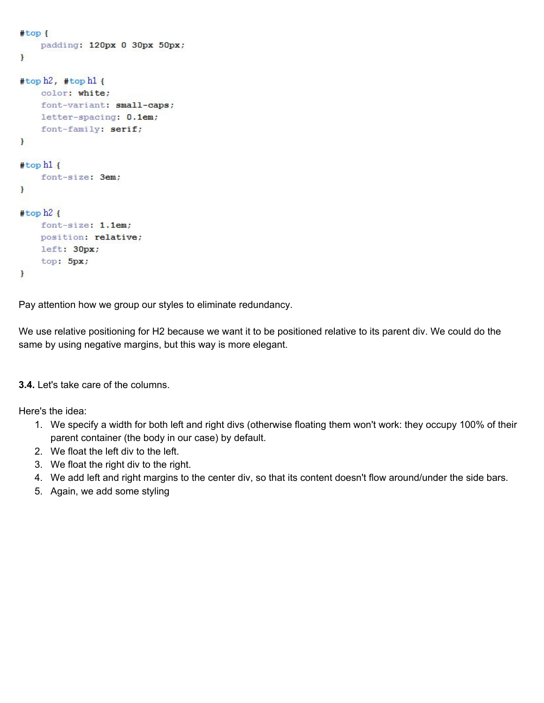```
#top {
    padding: 120px 0 30px 50px;
\mathbf{r}#top h2, #top h1 {
    color: white;
    font-variant: small-caps;
    letter-spacing: 0.1em;
    font-family: serif;
Ŧ
#top h1 {
    font-size: 3em;
\mathbf{F}#top h2ffont-size: 1.1em;
    position: relative;
    left: 30px;
    top: 5px;\mathbf{r}
```
Pay attention how we group our styles to eliminate redundancy.

We use relative positioning for H2 because we want it to be positioned relative to its parent div. We could do the same by using negative margins, but this way is more elegant.

**3.4.** Let's take care of the columns.

Here's the idea:

- 1. We specify a width for both left and right divs (otherwise floating them won't work: they occupy 100% of their parent container (the body in our case) by default.
- 2. We float the left div to the left.
- 3. We float the right div to the right.
- 4. We add left and right margins to the center div, so that its content doesn't flow around/under the side bars.
- 5. Again, we add some styling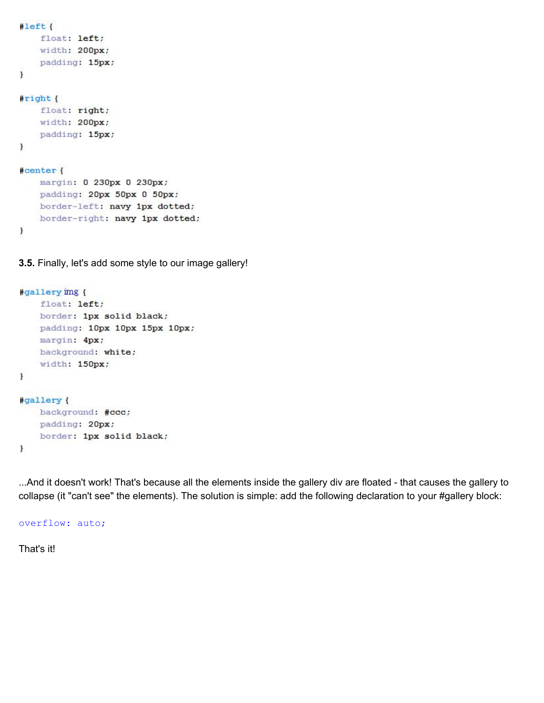```
#left{
    float: left;
    width: 200px;
   padding: 15px;
\mathbf{r}\#right {
    float: right;
    width: 200px;
    padding: 15px;
\mathcal{F}#center {
    margin: 0 230px 0 230px;
    padding: 20px 50px 0 50px;
    border-left: navy 1px dotted;
```
**3.5.** Finally, let's add some style to our image gallery!

border-right: navy 1px dotted;

```
#gallery img {
    float: left;
   border: 1px solid black;
   padding: 10px 10px 15px 10px;
   margin: 4px;
   background: white;
   width: 150px;
\mathbf{r}#gallery {
   background: #ccc;
   padding: 20px;
   border: 1px solid black;
ł
```
...And it doesn't work! That's because all the elements inside the gallery div are floated - that causes the gallery to collapse (it "can't see" the elements). The solution is simple: add the following declaration to your #gallery block:

overflow: auto;

That's it!

ł